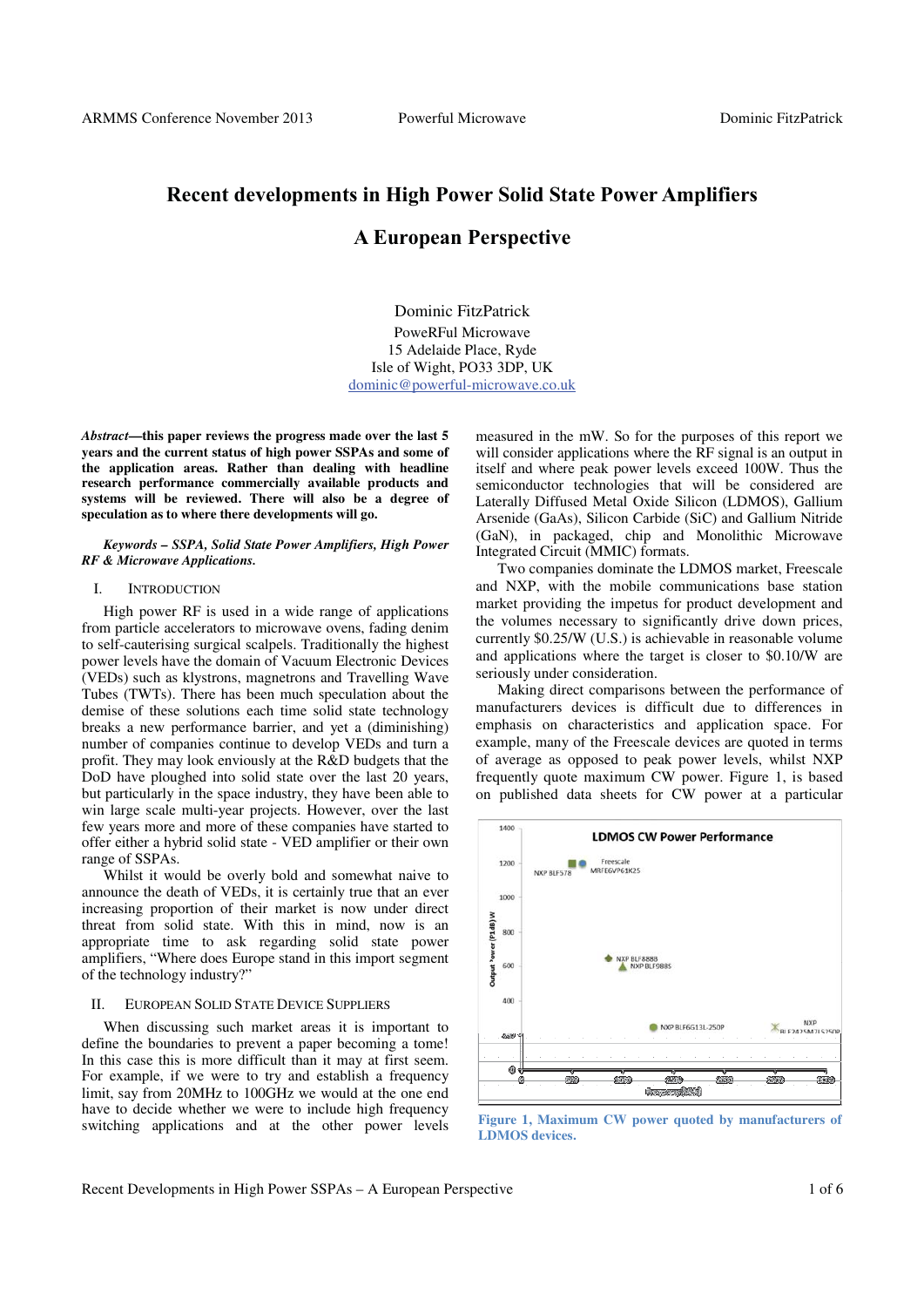# **Recent developments in High Power Solid State Power Amplifiers**

## **A European Perspective**

Dominic FitzPatrick PoweRFul Microwave 15 Adelaide Place, Ryde Isle of Wight, PO33 3DP, UK dominic@powerful-microwave.co.uk

*Abstract***—this paper reviews the progress made over the last 5 years and the current status of high power SSPAs and some of the application areas. Rather than dealing with headline research performance commercially available products and systems will be reviewed. There will also be a degree of speculation as to where there developments will go.** 

#### *Keywords – SSPA, Solid State Power Amplifiers, High Power RF & Microwave Applications.*

#### I. INTRODUCTION

High power RF is used in a wide range of applications from particle accelerators to microwave ovens, fading denim to self-cauterising surgical scalpels. Traditionally the highest power levels have the domain of Vacuum Electronic Devices (VEDs) such as klystrons, magnetrons and Travelling Wave Tubes (TWTs). There has been much speculation about the demise of these solutions each time solid state technology breaks a new performance barrier, and yet a (diminishing) number of companies continue to develop VEDs and turn a profit. They may look enviously at the R&D budgets that the DoD have ploughed into solid state over the last 20 years, but particularly in the space industry, they have been able to win large scale multi-year projects. However, over the last few years more and more of these companies have started to offer either a hybrid solid state - VED amplifier or their own range of SSPAs.

Whilst it would be overly bold and somewhat naive to announce the death of VEDs, it is certainly true that an ever increasing proportion of their market is now under direct threat from solid state. With this in mind, now is an appropriate time to ask regarding solid state power amplifiers, "Where does Europe stand in this import segment of the technology industry?"

#### II. EUROPEAN SOLID STATE DEVICE SUPPLIERS

When discussing such market areas it is important to define the boundaries to prevent a paper becoming a tome! In this case this is more difficult than it may at first seem. For example, if we were to try and establish a frequency limit, say from 20MHz to 100GHz we would at the one end have to decide whether we were to include high frequency switching applications and at the other power levels measured in the mW. So for the purposes of this report we will consider applications where the RF signal is an output in itself and where peak power levels exceed 100W. Thus the semiconductor technologies that will be considered are Laterally Diffused Metal Oxide Silicon (LDMOS), Gallium Arsenide (GaAs), Silicon Carbide (SiC) and Gallium Nitride (GaN), in packaged, chip and Monolithic Microwave Integrated Circuit (MMIC) formats.

Two companies dominate the LDMOS market, Freescale and NXP, with the mobile communications base station market providing the impetus for product development and the volumes necessary to significantly drive down prices, currently \$0.25/W (U.S.) is achievable in reasonable volume and applications where the target is closer to \$0.10/W are seriously under consideration.

Making direct comparisons between the performance of manufacturers devices is difficult due to differences in emphasis on characteristics and application space. For example, many of the Freescale devices are quoted in terms of average as opposed to peak power levels, whilst NXP frequently quote maximum CW power. Figure 1, is based on published data sheets for CW power at a particular



**Figure 1, Maximum CW power quoted by manufacturers of LDMOS devices.**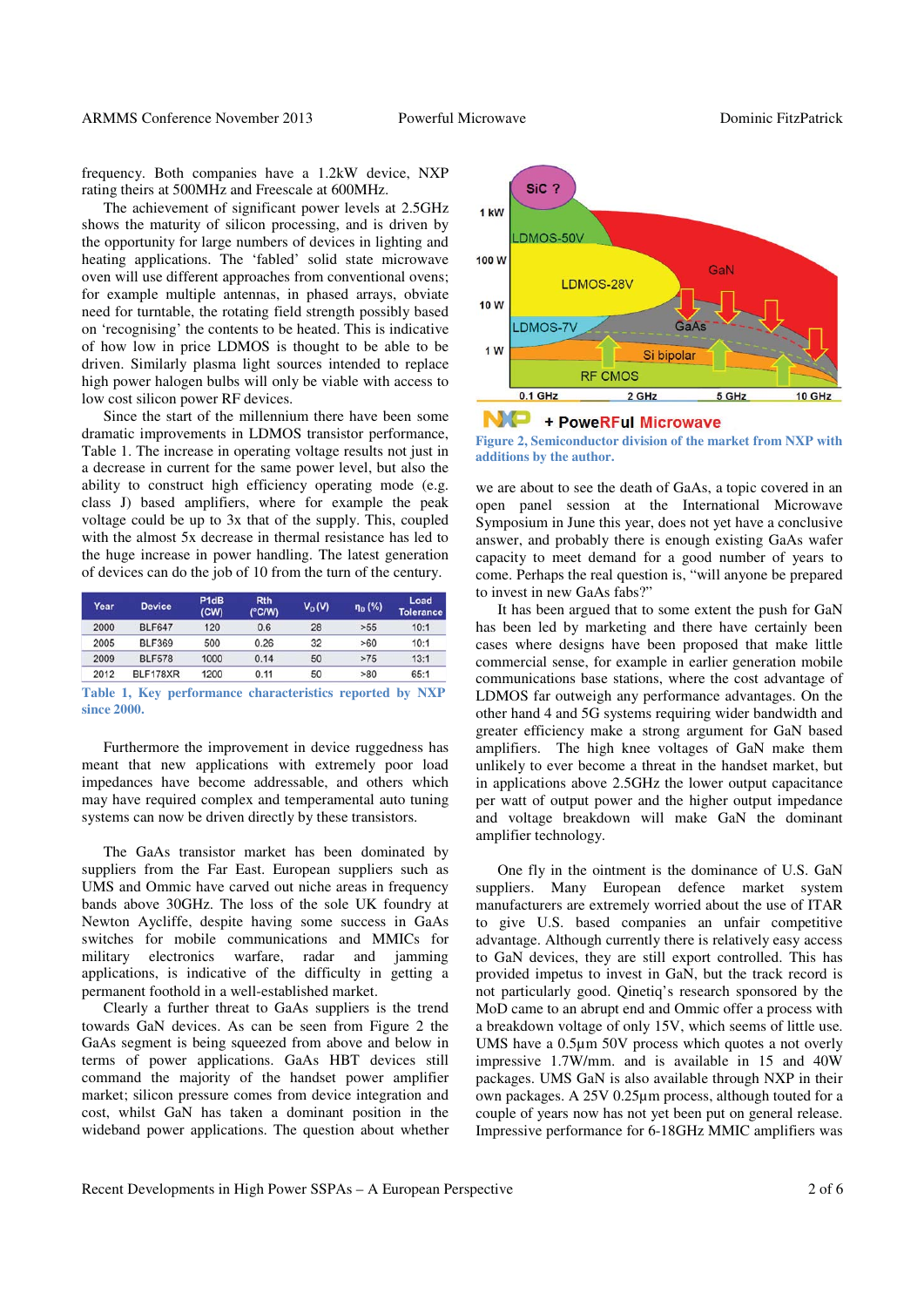frequency. Both companies have a 1.2kW device, NXP rating theirs at 500MHz and Freescale at 600MHz.

The achievement of significant power levels at 2.5GHz shows the maturity of silicon processing, and is driven by the opportunity for large numbers of devices in lighting and heating applications. The 'fabled' solid state microwave oven will use different approaches from conventional ovens; for example multiple antennas, in phased arrays, obviate need for turntable, the rotating field strength possibly based on 'recognising' the contents to be heated. This is indicative of how low in price LDMOS is thought to be able to be driven. Similarly plasma light sources intended to replace high power halogen bulbs will only be viable with access to low cost silicon power RF devices.

Since the start of the millennium there have been some dramatic improvements in LDMOS transistor performance, Table 1. The increase in operating voltage results not just in a decrease in current for the same power level, but also the ability to construct high efficiency operating mode (e.g. class J) based amplifiers, where for example the peak voltage could be up to 3x that of the supply. This, coupled with the almost 5x decrease in thermal resistance has led to the huge increase in power handling. The latest generation of devices can do the job of 10 from the turn of the century.

| Year | <b>Device</b> | P <sub>1d</sub> B<br>(CW) | <b>Rth</b><br>(°C/W) | $V_D(V)$ | $\eta_D$ (%) | Load<br><b>Tolerance</b> |
|------|---------------|---------------------------|----------------------|----------|--------------|--------------------------|
| 2000 | <b>BLF647</b> | 120                       | 0.6                  | 28       | >55          | 10:1                     |
| 2005 | BLF369        | 500                       | 0.26                 | 32       | >60          | 10:1                     |
| 2009 | <b>BLF578</b> | 1000                      | 0.14                 | 50       | >75          | 13:1                     |
| 2012 | BLF178XR      | 1200                      | 0.11                 | 50       | >80          | 65:1                     |

**Table 1, Key performance characteristics reported by NXP since 2000.**

Furthermore the improvement in device ruggedness has meant that new applications with extremely poor load impedances have become addressable, and others which may have required complex and temperamental auto tuning systems can now be driven directly by these transistors.

The GaAs transistor market has been dominated by suppliers from the Far East. European suppliers such as UMS and Ommic have carved out niche areas in frequency bands above 30GHz. The loss of the sole UK foundry at Newton Aycliffe, despite having some success in GaAs switches for mobile communications and MMICs for military electronics warfare, radar and jamming applications, is indicative of the difficulty in getting a permanent foothold in a well-established market.

Clearly a further threat to GaAs suppliers is the trend towards GaN devices. As can be seen from Figure 2 the GaAs segment is being squeezed from above and below in terms of power applications. GaAs HBT devices still command the majority of the handset power amplifier market; silicon pressure comes from device integration and cost, whilst GaN has taken a dominant position in the wideband power applications. The question about whether



#### N/D + PoweRFul Microwave

**Figure 2, Semiconductor division of the market from NXP with additions by the author.**

we are about to see the death of GaAs, a topic covered in an open panel session at the International Microwave Symposium in June this year, does not yet have a conclusive answer, and probably there is enough existing GaAs wafer capacity to meet demand for a good number of years to come. Perhaps the real question is, "will anyone be prepared to invest in new GaAs fabs?"

It has been argued that to some extent the push for GaN has been led by marketing and there have certainly been cases where designs have been proposed that make little commercial sense, for example in earlier generation mobile communications base stations, where the cost advantage of LDMOS far outweigh any performance advantages. On the other hand 4 and 5G systems requiring wider bandwidth and greater efficiency make a strong argument for GaN based amplifiers. The high knee voltages of GaN make them unlikely to ever become a threat in the handset market, but in applications above 2.5GHz the lower output capacitance per watt of output power and the higher output impedance and voltage breakdown will make GaN the dominant amplifier technology.

One fly in the ointment is the dominance of U.S. GaN suppliers. Many European defence market system manufacturers are extremely worried about the use of ITAR to give U.S. based companies an unfair competitive advantage. Although currently there is relatively easy access to GaN devices, they are still export controlled. This has provided impetus to invest in GaN, but the track record is not particularly good. Qinetiq's research sponsored by the MoD came to an abrupt end and Ommic offer a process with a breakdown voltage of only 15V, which seems of little use. UMS have a 0.5μm 50V process which quotes a not overly impressive 1.7W/mm. and is available in 15 and 40W packages. UMS GaN is also available through NXP in their own packages. A 25V 0.25μm process, although touted for a couple of years now has not yet been put on general release. Impressive performance for 6-18GHz MMIC amplifiers was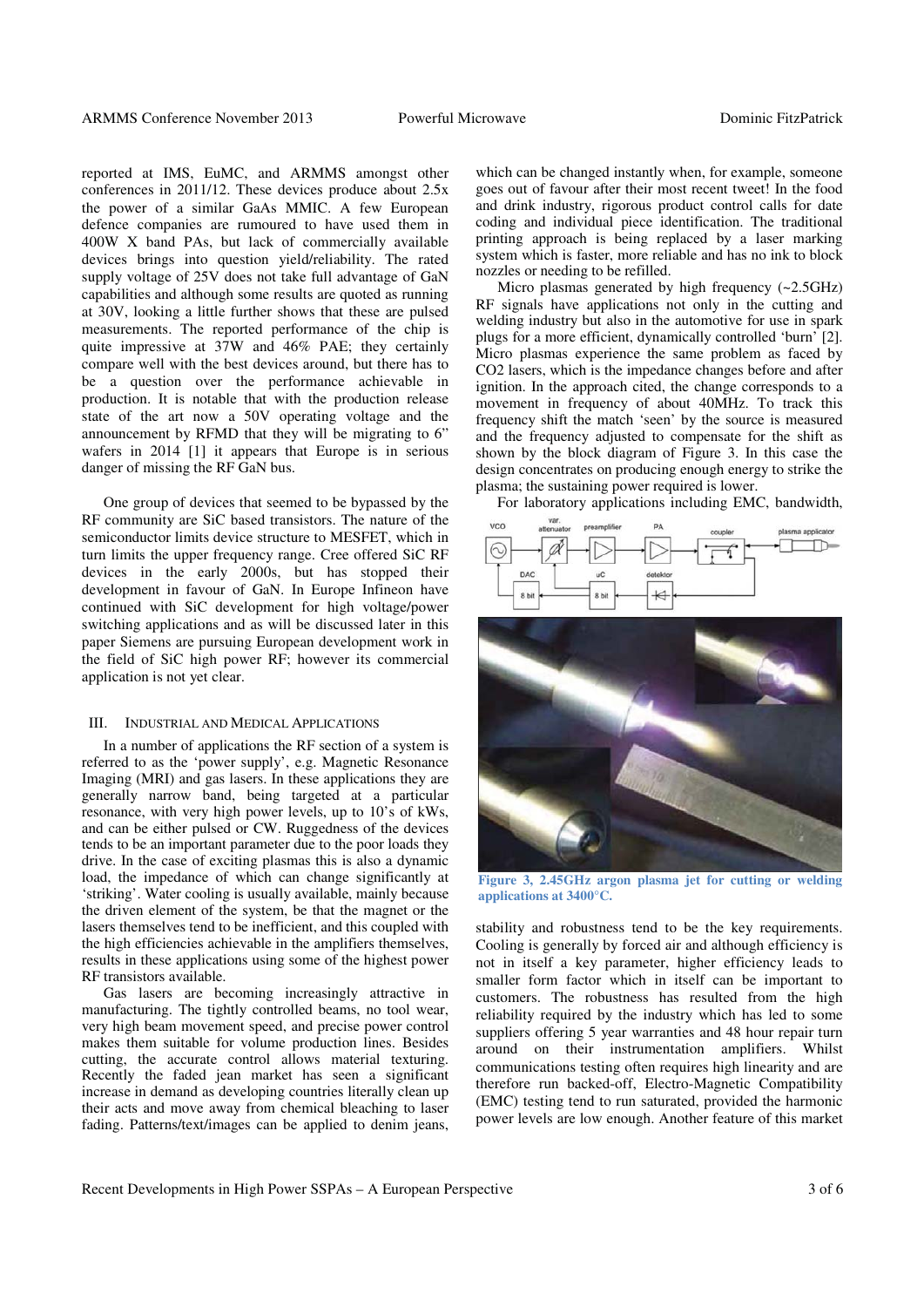reported at IMS, EuMC, and ARMMS amongst other conferences in 2011/12. These devices produce about 2.5x the power of a similar GaAs MMIC. A few European defence companies are rumoured to have used them in 400W X band PAs, but lack of commercially available devices brings into question yield/reliability. The rated supply voltage of 25V does not take full advantage of GaN capabilities and although some results are quoted as running at 30V, looking a little further shows that these are pulsed measurements. The reported performance of the chip is quite impressive at 37W and 46% PAE; they certainly compare well with the best devices around, but there has to be a question over the performance achievable in production. It is notable that with the production release state of the art now a 50V operating voltage and the announcement by RFMD that they will be migrating to 6" wafers in 2014 [1] it appears that Europe is in serious danger of missing the RF GaN bus.

One group of devices that seemed to be bypassed by the RF community are SiC based transistors. The nature of the semiconductor limits device structure to MESFET, which in turn limits the upper frequency range. Cree offered SiC RF devices in the early 2000s, but has stopped their development in favour of GaN. In Europe Infineon have continued with SiC development for high voltage/power switching applications and as will be discussed later in this paper Siemens are pursuing European development work in the field of SiC high power RF; however its commercial application is not yet clear.

#### III. INDUSTRIAL AND MEDICAL APPLICATIONS

In a number of applications the RF section of a system is referred to as the 'power supply', e.g. Magnetic Resonance Imaging (MRI) and gas lasers. In these applications they are generally narrow band, being targeted at a particular resonance, with very high power levels, up to 10's of kWs, and can be either pulsed or CW. Ruggedness of the devices tends to be an important parameter due to the poor loads they drive. In the case of exciting plasmas this is also a dynamic load, the impedance of which can change significantly at 'striking'. Water cooling is usually available, mainly because the driven element of the system, be that the magnet or the lasers themselves tend to be inefficient, and this coupled with the high efficiencies achievable in the amplifiers themselves, results in these applications using some of the highest power RF transistors available.

Gas lasers are becoming increasingly attractive in manufacturing. The tightly controlled beams, no tool wear, very high beam movement speed, and precise power control makes them suitable for volume production lines. Besides cutting, the accurate control allows material texturing. Recently the faded jean market has seen a significant increase in demand as developing countries literally clean up their acts and move away from chemical bleaching to laser fading. Patterns/text/images can be applied to denim jeans,

which can be changed instantly when, for example, someone goes out of favour after their most recent tweet! In the food and drink industry, rigorous product control calls for date coding and individual piece identification. The traditional printing approach is being replaced by a laser marking system which is faster, more reliable and has no ink to block nozzles or needing to be refilled.

Micro plasmas generated by high frequency (~2.5GHz) RF signals have applications not only in the cutting and welding industry but also in the automotive for use in spark plugs for a more efficient, dynamically controlled 'burn' [2]. Micro plasmas experience the same problem as faced by CO2 lasers, which is the impedance changes before and after ignition. In the approach cited, the change corresponds to a movement in frequency of about 40MHz. To track this frequency shift the match 'seen' by the source is measured and the frequency adjusted to compensate for the shift as shown by the block diagram of Figure 3. In this case the design concentrates on producing enough energy to strike the plasma; the sustaining power required is lower.

For laboratory applications including EMC, bandwidth,





**Figure 3, 2.45GHz argon plasma jet for cutting or welding applications at 3400°C.**

stability and robustness tend to be the key requirements. Cooling is generally by forced air and although efficiency is not in itself a key parameter, higher efficiency leads to smaller form factor which in itself can be important to customers. The robustness has resulted from the high reliability required by the industry which has led to some suppliers offering 5 year warranties and 48 hour repair turn around on their instrumentation amplifiers. Whilst communications testing often requires high linearity and are therefore run backed-off, Electro-Magnetic Compatibility (EMC) testing tend to run saturated, provided the harmonic power levels are low enough. Another feature of this market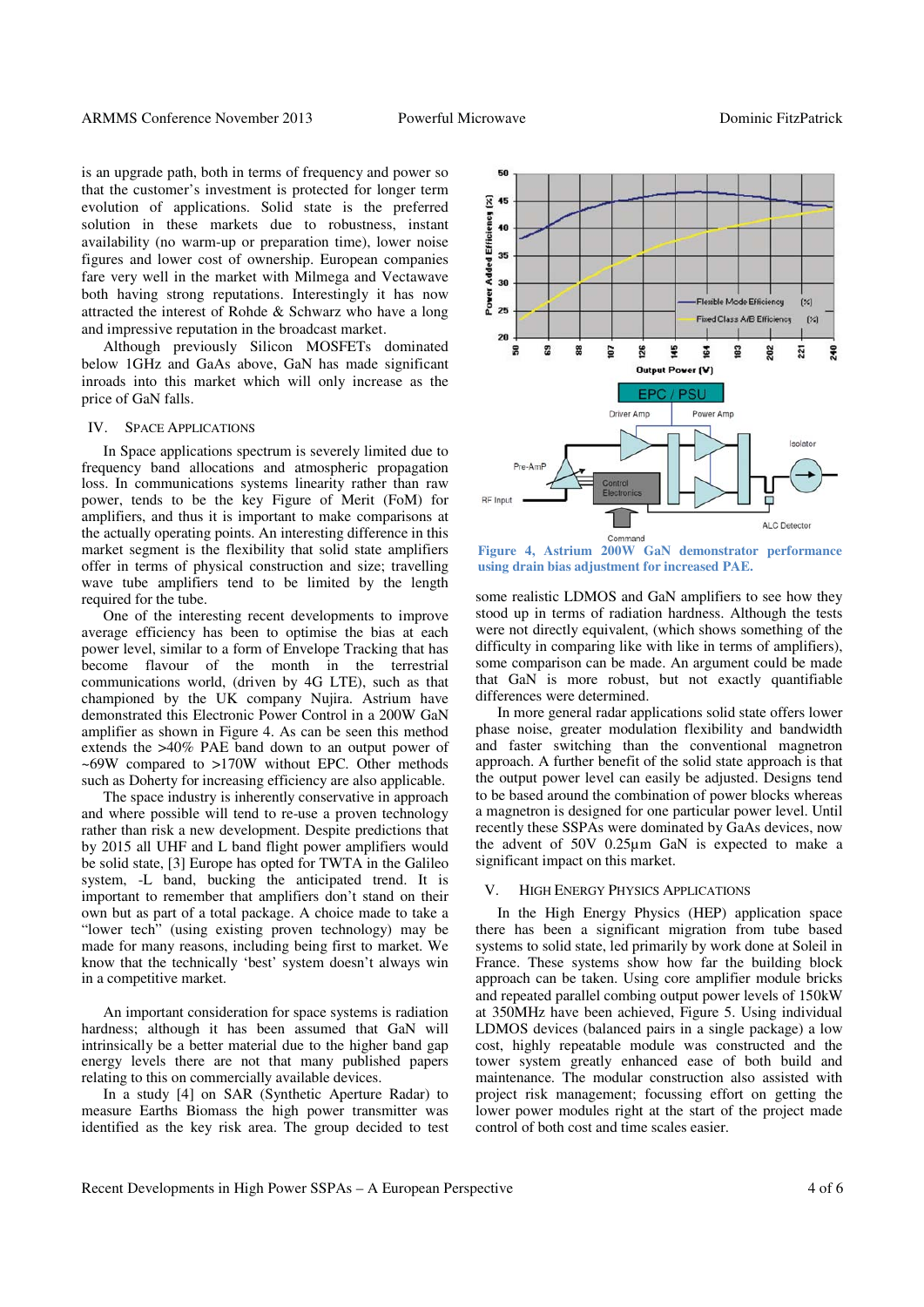is an upgrade path, both in terms of frequency and power so that the customer's investment is protected for longer term evolution of applications. Solid state is the preferred solution in these markets due to robustness, instant availability (no warm-up or preparation time), lower noise figures and lower cost of ownership. European companies fare very well in the market with Milmega and Vectawave both having strong reputations. Interestingly it has now attracted the interest of Rohde & Schwarz who have a long and impressive reputation in the broadcast market.

Although previously Silicon MOSFETs dominated below 1GHz and GaAs above, GaN has made significant inroads into this market which will only increase as the price of GaN falls.

#### IV. SPACE APPLICATIONS

In Space applications spectrum is severely limited due to frequency band allocations and atmospheric propagation loss. In communications systems linearity rather than raw power, tends to be the key Figure of Merit (FoM) for amplifiers, and thus it is important to make comparisons at the actually operating points. An interesting difference in this market segment is the flexibility that solid state amplifiers offer in terms of physical construction and size; travelling wave tube amplifiers tend to be limited by the length required for the tube.

One of the interesting recent developments to improve average efficiency has been to optimise the bias at each power level, similar to a form of Envelope Tracking that has become flavour of the month in the terrestrial communications world, (driven by 4G LTE), such as that championed by the UK company Nujira. Astrium have demonstrated this Electronic Power Control in a 200W GaN amplifier as shown in Figure 4. As can be seen this method extends the >40% PAE band down to an output power of ~69W compared to >170W without EPC. Other methods such as Doherty for increasing efficiency are also applicable.

The space industry is inherently conservative in approach and where possible will tend to re-use a proven technology rather than risk a new development. Despite predictions that by 2015 all UHF and L band flight power amplifiers would be solid state, [3] Europe has opted for TWTA in the Galileo system, -L band, bucking the anticipated trend. It is important to remember that amplifiers don't stand on their own but as part of a total package. A choice made to take a "lower tech" (using existing proven technology) may be made for many reasons, including being first to market. We know that the technically 'best' system doesn't always win in a competitive market.

An important consideration for space systems is radiation hardness; although it has been assumed that GaN will intrinsically be a better material due to the higher band gap energy levels there are not that many published papers relating to this on commercially available devices.

In a study [4] on SAR (Synthetic Aperture Radar) to measure Earths Biomass the high power transmitter was identified as the key risk area. The group decided to test



**Figure 4, Astrium 200W GaN demonstrator performance using drain bias adjustment for increased PAE.**

some realistic LDMOS and GaN amplifiers to see how they stood up in terms of radiation hardness. Although the tests were not directly equivalent, (which shows something of the difficulty in comparing like with like in terms of amplifiers), some comparison can be made. An argument could be made that GaN is more robust, but not exactly quantifiable differences were determined.

In more general radar applications solid state offers lower phase noise, greater modulation flexibility and bandwidth and faster switching than the conventional magnetron approach. A further benefit of the solid state approach is that the output power level can easily be adjusted. Designs tend to be based around the combination of power blocks whereas a magnetron is designed for one particular power level. Until recently these SSPAs were dominated by GaAs devices, now the advent of 50V 0.25μm GaN is expected to make a significant impact on this market.

#### V. HIGH ENERGY PHYSICS APPLICATIONS

In the High Energy Physics (HEP) application space there has been a significant migration from tube based systems to solid state, led primarily by work done at Soleil in France. These systems show how far the building block approach can be taken. Using core amplifier module bricks and repeated parallel combing output power levels of 150kW at 350MHz have been achieved, Figure 5. Using individual LDMOS devices (balanced pairs in a single package) a low cost, highly repeatable module was constructed and the tower system greatly enhanced ease of both build and maintenance. The modular construction also assisted with project risk management; focussing effort on getting the lower power modules right at the start of the project made control of both cost and time scales easier.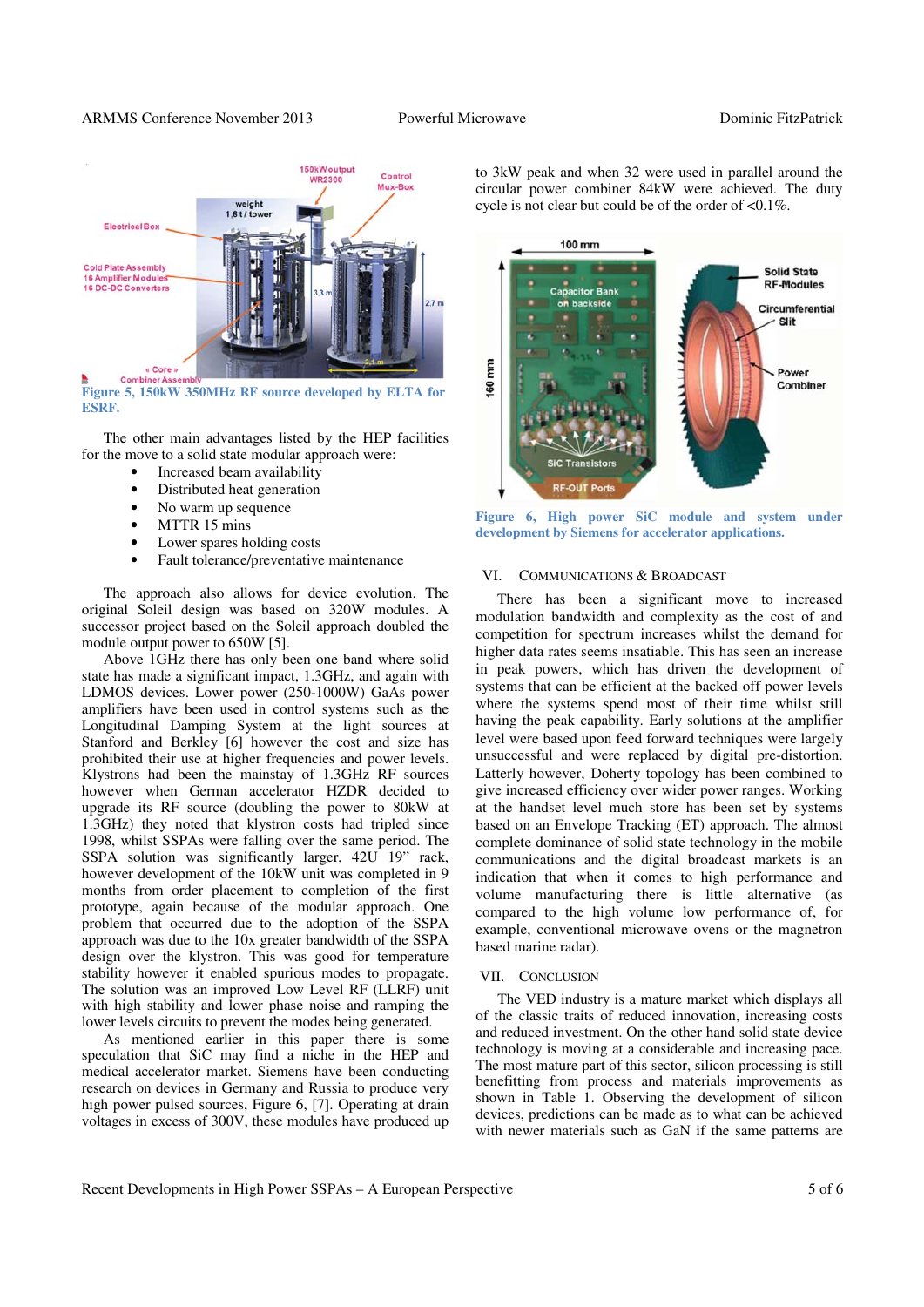

**Figure 5, 150kW 350MHz RF source developed by ELTA for ESRF.**

The other main advantages listed by the HEP facilities for the move to a solid state modular approach were:

- Increased beam availability
- Distributed heat generation
- No warm up sequence
- MTTR 15 mins
- Lower spares holding costs
- Fault tolerance/preventative maintenance

The approach also allows for device evolution. The original Soleil design was based on 320W modules. A successor project based on the Soleil approach doubled the module output power to 650W [5].

Above 1GHz there has only been one band where solid state has made a significant impact, 1.3GHz, and again with LDMOS devices. Lower power (250-1000W) GaAs power amplifiers have been used in control systems such as the Longitudinal Damping System at the light sources at Stanford and Berkley [6] however the cost and size has prohibited their use at higher frequencies and power levels. Klystrons had been the mainstay of 1.3GHz RF sources however when German accelerator HZDR decided to upgrade its RF source (doubling the power to 80kW at 1.3GHz) they noted that klystron costs had tripled since 1998, whilst SSPAs were falling over the same period. The SSPA solution was significantly larger, 42U 19" rack, however development of the 10kW unit was completed in 9 months from order placement to completion of the first prototype, again because of the modular approach. One problem that occurred due to the adoption of the SSPA approach was due to the 10x greater bandwidth of the SSPA design over the klystron. This was good for temperature stability however it enabled spurious modes to propagate. The solution was an improved Low Level RF (LLRF) unit with high stability and lower phase noise and ramping the lower levels circuits to prevent the modes being generated.

As mentioned earlier in this paper there is some speculation that SiC may find a niche in the HEP and medical accelerator market. Siemens have been conducting research on devices in Germany and Russia to produce very high power pulsed sources, Figure 6, [7]. Operating at drain voltages in excess of 300V, these modules have produced up

to 3kW peak and when 32 were used in parallel around the circular power combiner 84kW were achieved. The duty cycle is not clear but could be of the order of <0.1%.



**Figure 6, High power SiC module and system under development by Siemens for accelerator applications.**

#### VI. COMMUNICATIONS & BROADCAST

There has been a significant move to increased modulation bandwidth and complexity as the cost of and competition for spectrum increases whilst the demand for higher data rates seems insatiable. This has seen an increase in peak powers, which has driven the development of systems that can be efficient at the backed off power levels where the systems spend most of their time whilst still having the peak capability. Early solutions at the amplifier level were based upon feed forward techniques were largely unsuccessful and were replaced by digital pre-distortion. Latterly however, Doherty topology has been combined to give increased efficiency over wider power ranges. Working at the handset level much store has been set by systems based on an Envelope Tracking (ET) approach. The almost complete dominance of solid state technology in the mobile communications and the digital broadcast markets is an indication that when it comes to high performance and volume manufacturing there is little alternative (as compared to the high volume low performance of, for example, conventional microwave ovens or the magnetron based marine radar).

#### VII. CONCLUSION

The VED industry is a mature market which displays all of the classic traits of reduced innovation, increasing costs and reduced investment. On the other hand solid state device technology is moving at a considerable and increasing pace. The most mature part of this sector, silicon processing is still benefitting from process and materials improvements as shown in Table 1. Observing the development of silicon devices, predictions can be made as to what can be achieved with newer materials such as GaN if the same patterns are